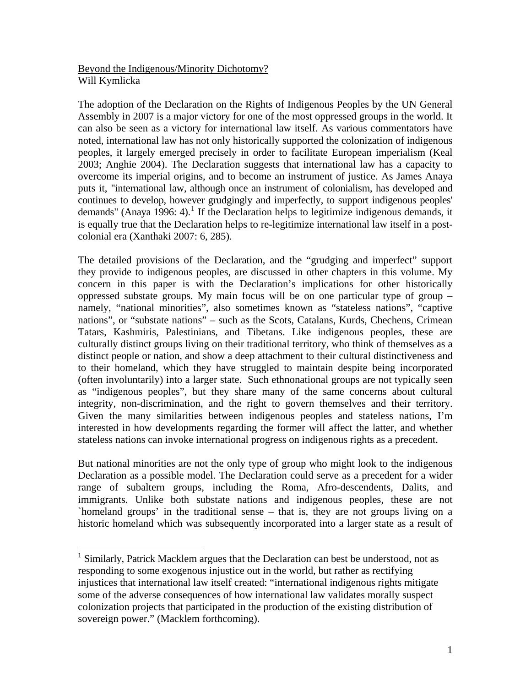Beyond the Indigenous/Minority Dichotomy? Will Kymlicka

The adoption of the Declaration on the Rights of Indigenous Peoples by the UN General Assembly in 2007 is a major victory for one of the most oppressed groups in the world. It can also be seen as a victory for international law itself. As various commentators have noted, international law has not only historically supported the colonization of indigenous peoples, it largely emerged precisely in order to facilitate European imperialism (Keal 2003; Anghie 2004). The Declaration suggests that international law has a capacity to overcome its imperial origins, and to become an instrument of justice. As James Anaya puts it, "international law, although once an instrument of colonialism, has developed and continues to develop, however grudgingly and imperfectly, to support indigenous peoples' demands" (Anaya [1](#page-0-0)996: 4).<sup>1</sup> If the Declaration helps to legitimize indigenous demands, it is equally true that the Declaration helps to re-legitimize international law itself in a postcolonial era (Xanthaki 2007: 6, 285).

The detailed provisions of the Declaration, and the "grudging and imperfect" support they provide to indigenous peoples, are discussed in other chapters in this volume. My concern in this paper is with the Declaration's implications for other historically oppressed substate groups. My main focus will be on one particular type of group – namely, "national minorities", also sometimes known as "stateless nations", "captive nations", or "substate nations" – such as the Scots, Catalans, Kurds, Chechens, Crimean Tatars, Kashmiris, Palestinians, and Tibetans. Like indigenous peoples, these are culturally distinct groups living on their traditional territory, who think of themselves as a distinct people or nation, and show a deep attachment to their cultural distinctiveness and to their homeland, which they have struggled to maintain despite being incorporated (often involuntarily) into a larger state. Such ethnonational groups are not typically seen as "indigenous peoples", but they share many of the same concerns about cultural integrity, non-discrimination, and the right to govern themselves and their territory. Given the many similarities between indigenous peoples and stateless nations, I'm interested in how developments regarding the former will affect the latter, and whether stateless nations can invoke international progress on indigenous rights as a precedent.

But national minorities are not the only type of group who might look to the indigenous Declaration as a possible model. The Declaration could serve as a precedent for a wider range of subaltern groups, including the Roma, Afro-descendents, Dalits, and immigrants. Unlike both substate nations and indigenous peoples, these are not `homeland groups' in the traditional sense – that is, they are not groups living on a historic homeland which was subsequently incorporated into a larger state as a result of

<span id="page-0-0"></span> $<sup>1</sup>$  Similarly, Patrick Macklem argues that the Declaration can best be understood, not as</sup> responding to some exogenous injustice out in the world, but rather as rectifying injustices that international law itself created: "international indigenous rights mitigate some of the adverse consequences of how international law validates morally suspect colonization projects that participated in the production of the existing distribution of sovereign power." (Macklem forthcoming).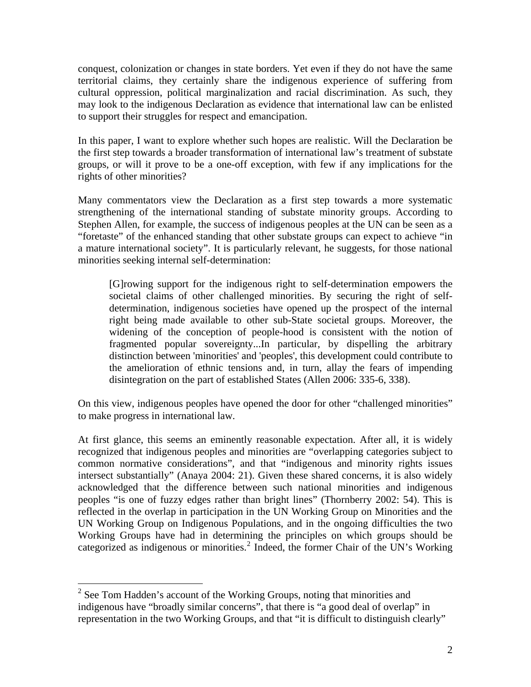conquest, colonization or changes in state borders. Yet even if they do not have the same territorial claims, they certainly share the indigenous experience of suffering from cultural oppression, political marginalization and racial discrimination. As such, they may look to the indigenous Declaration as evidence that international law can be enlisted to support their struggles for respect and emancipation.

In this paper, I want to explore whether such hopes are realistic. Will the Declaration be the first step towards a broader transformation of international law's treatment of substate groups, or will it prove to be a one-off exception, with few if any implications for the rights of other minorities?

Many commentators view the Declaration as a first step towards a more systematic strengthening of the international standing of substate minority groups. According to Stephen Allen, for example, the success of indigenous peoples at the UN can be seen as a "foretaste" of the enhanced standing that other substate groups can expect to achieve "in a mature international society". It is particularly relevant, he suggests, for those national minorities seeking internal self-determination:

[G]rowing support for the indigenous right to self-determination empowers the societal claims of other challenged minorities. By securing the right of selfdetermination, indigenous societies have opened up the prospect of the internal right being made available to other sub-State societal groups. Moreover, the widening of the conception of people-hood is consistent with the notion of fragmented popular sovereignty...In particular, by dispelling the arbitrary distinction between 'minorities' and 'peoples', this development could contribute to the amelioration of ethnic tensions and, in turn, allay the fears of impending disintegration on the part of established States (Allen 2006: 335-6, 338).

On this view, indigenous peoples have opened the door for other "challenged minorities" to make progress in international law.

At first glance, this seems an eminently reasonable expectation. After all, it is widely recognized that indigenous peoples and minorities are "overlapping categories subject to common normative considerations", and that "indigenous and minority rights issues intersect substantially" (Anaya 2004: 21). Given these shared concerns, it is also widely acknowledged that the difference between such national minorities and indigenous peoples "is one of fuzzy edges rather than bright lines" (Thornberry 2002: 54). This is reflected in the overlap in participation in the UN Working Group on Minorities and the UN Working Group on Indigenous Populations, and in the ongoing difficulties the two Working Groups have had in determining the principles on which groups should be categorized as indigenous or minorities.<sup>[2](#page-1-0)</sup> Indeed, the former Chair of the UN's Working

<span id="page-1-0"></span><sup>&</sup>lt;sup>2</sup> See Tom Hadden's account of the Working Groups, noting that minorities and indigenous have "broadly similar concerns", that there is "a good deal of overlap" in representation in the two Working Groups, and that "it is difficult to distinguish clearly"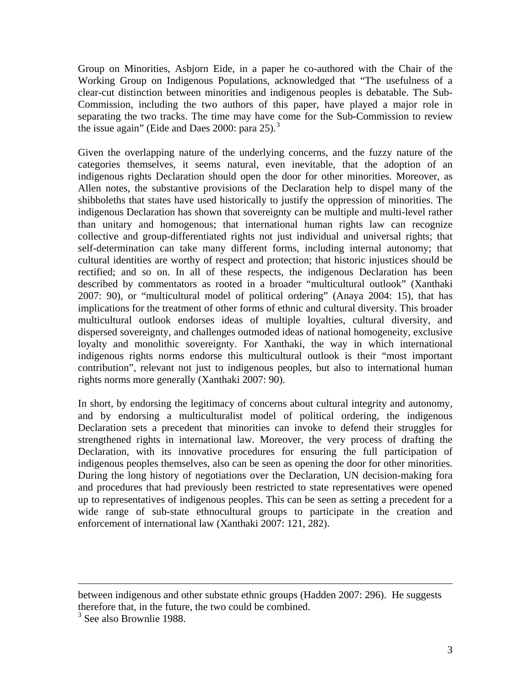Group on Minorities, Asbjorn Eide, in a paper he co-authored with the Chair of the Working Group on Indigenous Populations, acknowledged that "The usefulness of a clear-cut distinction between minorities and indigenous peoples is debatable. The Sub-Commission, including the two authors of this paper, have played a major role in separating the two tracks. The time may have come for the Sub-Commission to review the issue again" (Eide and Daes 2000: para  $25$ ).<sup>[3](#page-2-0)</sup>

Given the overlapping nature of the underlying concerns, and the fuzzy nature of the categories themselves, it seems natural, even inevitable, that the adoption of an indigenous rights Declaration should open the door for other minorities. Moreover, as Allen notes, the substantive provisions of the Declaration help to dispel many of the shibboleths that states have used historically to justify the oppression of minorities. The indigenous Declaration has shown that sovereignty can be multiple and multi-level rather than unitary and homogenous; that international human rights law can recognize collective and group-differentiated rights not just individual and universal rights; that self-determination can take many different forms, including internal autonomy; that cultural identities are worthy of respect and protection; that historic injustices should be rectified; and so on. In all of these respects, the indigenous Declaration has been described by commentators as rooted in a broader "multicultural outlook" (Xanthaki 2007: 90), or "multicultural model of political ordering" (Anaya 2004: 15), that has implications for the treatment of other forms of ethnic and cultural diversity. This broader multicultural outlook endorses ideas of multiple loyalties, cultural diversity, and dispersed sovereignty, and challenges outmoded ideas of national homogeneity, exclusive loyalty and monolithic sovereignty. For Xanthaki, the way in which international indigenous rights norms endorse this multicultural outlook is their "most important contribution", relevant not just to indigenous peoples, but also to international human rights norms more generally (Xanthaki 2007: 90).

In short, by endorsing the legitimacy of concerns about cultural integrity and autonomy, and by endorsing a multiculturalist model of political ordering, the indigenous Declaration sets a precedent that minorities can invoke to defend their struggles for strengthened rights in international law. Moreover, the very process of drafting the Declaration, with its innovative procedures for ensuring the full participation of indigenous peoples themselves, also can be seen as opening the door for other minorities. During the long history of negotiations over the Declaration, UN decision-making fora and procedures that had previously been restricted to state representatives were opened up to representatives of indigenous peoples. This can be seen as setting a precedent for a wide range of sub-state ethnocultural groups to participate in the creation and enforcement of international law (Xanthaki 2007: 121, 282).

between indigenous and other substate ethnic groups (Hadden 2007: 296). He suggests therefore that, in the future, the two could be combined.

<span id="page-2-0"></span><sup>&</sup>lt;sup>3</sup> See also Brownlie 1988.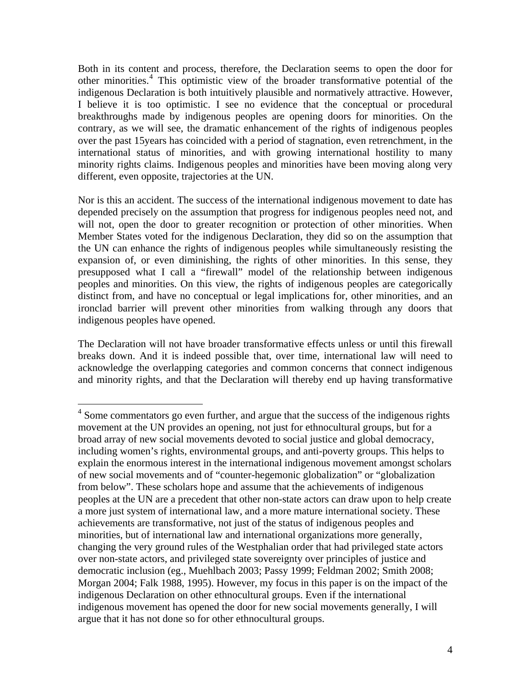Both in its content and process, therefore, the Declaration seems to open the door for other minorities.<sup>[4](#page-3-0)</sup> This optimistic view of the broader transformative potential of the indigenous Declaration is both intuitively plausible and normatively attractive. However, I believe it is too optimistic. I see no evidence that the conceptual or procedural breakthroughs made by indigenous peoples are opening doors for minorities. On the contrary, as we will see, the dramatic enhancement of the rights of indigenous peoples over the past 15years has coincided with a period of stagnation, even retrenchment, in the international status of minorities, and with growing international hostility to many minority rights claims. Indigenous peoples and minorities have been moving along very different, even opposite, trajectories at the UN.

Nor is this an accident. The success of the international indigenous movement to date has depended precisely on the assumption that progress for indigenous peoples need not, and will not, open the door to greater recognition or protection of other minorities. When Member States voted for the indigenous Declaration, they did so on the assumption that the UN can enhance the rights of indigenous peoples while simultaneously resisting the expansion of, or even diminishing, the rights of other minorities. In this sense, they presupposed what I call a "firewall" model of the relationship between indigenous peoples and minorities. On this view, the rights of indigenous peoples are categorically distinct from, and have no conceptual or legal implications for, other minorities, and an ironclad barrier will prevent other minorities from walking through any doors that indigenous peoples have opened.

The Declaration will not have broader transformative effects unless or until this firewall breaks down. And it is indeed possible that, over time, international law will need to acknowledge the overlapping categories and common concerns that connect indigenous and minority rights, and that the Declaration will thereby end up having transformative

<span id="page-3-0"></span><sup>&</sup>lt;sup>4</sup> Some commentators go even further, and argue that the success of the indigenous rights movement at the UN provides an opening, not just for ethnocultural groups, but for a broad array of new social movements devoted to social justice and global democracy, including women's rights, environmental groups, and anti-poverty groups. This helps to explain the enormous interest in the international indigenous movement amongst scholars of new social movements and of "counter-hegemonic globalization" or "globalization from below". These scholars hope and assume that the achievements of indigenous peoples at the UN are a precedent that other non-state actors can draw upon to help create a more just system of international law, and a more mature international society. These achievements are transformative, not just of the status of indigenous peoples and minorities, but of international law and international organizations more generally, changing the very ground rules of the Westphalian order that had privileged state actors over non-state actors, and privileged state sovereignty over principles of justice and democratic inclusion (eg., Muehlbach 2003; Passy 1999; Feldman 2002; Smith 2008; Morgan 2004; Falk 1988, 1995). However, my focus in this paper is on the impact of the indigenous Declaration on other ethnocultural groups. Even if the international indigenous movement has opened the door for new social movements generally, I will argue that it has not done so for other ethnocultural groups.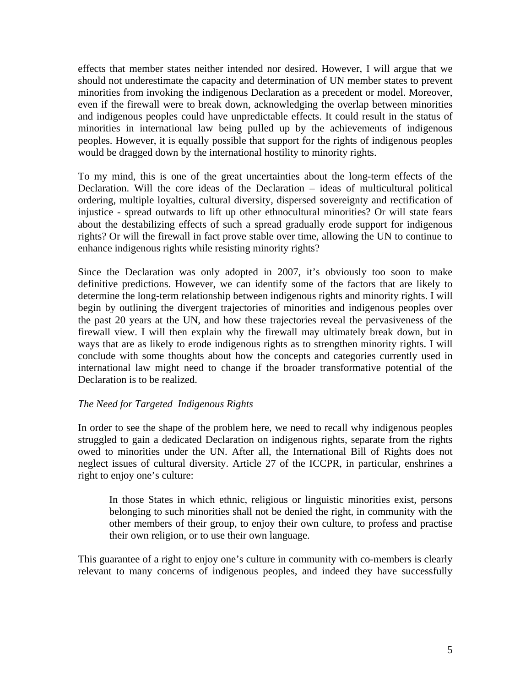effects that member states neither intended nor desired. However, I will argue that we should not underestimate the capacity and determination of UN member states to prevent minorities from invoking the indigenous Declaration as a precedent or model. Moreover, even if the firewall were to break down, acknowledging the overlap between minorities and indigenous peoples could have unpredictable effects. It could result in the status of minorities in international law being pulled up by the achievements of indigenous peoples. However, it is equally possible that support for the rights of indigenous peoples would be dragged down by the international hostility to minority rights.

To my mind, this is one of the great uncertainties about the long-term effects of the Declaration. Will the core ideas of the Declaration – ideas of multicultural political ordering, multiple loyalties, cultural diversity, dispersed sovereignty and rectification of injustice - spread outwards to lift up other ethnocultural minorities? Or will state fears about the destabilizing effects of such a spread gradually erode support for indigenous rights? Or will the firewall in fact prove stable over time, allowing the UN to continue to enhance indigenous rights while resisting minority rights?

Since the Declaration was only adopted in 2007, it's obviously too soon to make definitive predictions. However, we can identify some of the factors that are likely to determine the long-term relationship between indigenous rights and minority rights. I will begin by outlining the divergent trajectories of minorities and indigenous peoples over the past 20 years at the UN, and how these trajectories reveal the pervasiveness of the firewall view. I will then explain why the firewall may ultimately break down, but in ways that are as likely to erode indigenous rights as to strengthen minority rights. I will conclude with some thoughts about how the concepts and categories currently used in international law might need to change if the broader transformative potential of the Declaration is to be realized.

## *The Need for Targeted Indigenous Rights*

In order to see the shape of the problem here, we need to recall why indigenous peoples struggled to gain a dedicated Declaration on indigenous rights, separate from the rights owed to minorities under the UN. After all, the International Bill of Rights does not neglect issues of cultural diversity. Article 27 of the ICCPR, in particular, enshrines a right to enjoy one's culture:

In those States in which ethnic, religious or linguistic minorities exist, persons belonging to such minorities shall not be denied the right, in community with the other members of their group, to enjoy their own culture, to profess and practise their own religion, or to use their own language.

This guarantee of a right to enjoy one's culture in community with co-members is clearly relevant to many concerns of indigenous peoples, and indeed they have successfully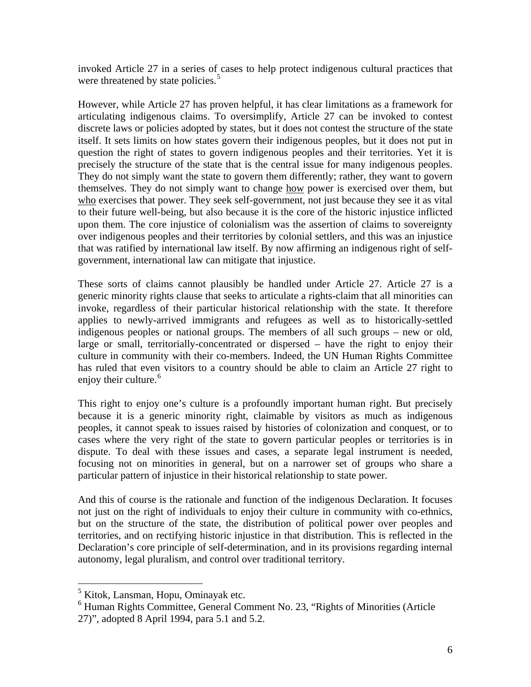invoked Article 27 in a series of cases to help protect indigenous cultural practices that were threatened by state policies.<sup>[5](#page-5-0)</sup>

However, while Article 27 has proven helpful, it has clear limitations as a framework for articulating indigenous claims. To oversimplify, Article 27 can be invoked to contest discrete laws or policies adopted by states, but it does not contest the structure of the state itself. It sets limits on how states govern their indigenous peoples, but it does not put in question the right of states to govern indigenous peoples and their territories. Yet it is precisely the structure of the state that is the central issue for many indigenous peoples. They do not simply want the state to govern them differently; rather, they want to govern themselves. They do not simply want to change how power is exercised over them, but who exercises that power. They seek self-government, not just because they see it as vital to their future well-being, but also because it is the core of the historic injustice inflicted upon them. The core injustice of colonialism was the assertion of claims to sovereignty over indigenous peoples and their territories by colonial settlers, and this was an injustice that was ratified by international law itself. By now affirming an indigenous right of selfgovernment, international law can mitigate that injustice.

These sorts of claims cannot plausibly be handled under Article 27. Article 27 is a generic minority rights clause that seeks to articulate a rights-claim that all minorities can invoke, regardless of their particular historical relationship with the state. It therefore applies to newly-arrived immigrants and refugees as well as to historically-settled indigenous peoples or national groups. The members of all such groups – new or old, large or small, territorially-concentrated or dispersed – have the right to enjoy their culture in community with their co-members. Indeed, the UN Human Rights Committee has ruled that even visitors to a country should be able to claim an Article 27 right to enjoy their culture.<sup>[6](#page-5-1)</sup>

This right to enjoy one's culture is a profoundly important human right. But precisely because it is a generic minority right, claimable by visitors as much as indigenous peoples, it cannot speak to issues raised by histories of colonization and conquest, or to cases where the very right of the state to govern particular peoples or territories is in dispute. To deal with these issues and cases, a separate legal instrument is needed, focusing not on minorities in general, but on a narrower set of groups who share a particular pattern of injustice in their historical relationship to state power.

And this of course is the rationale and function of the indigenous Declaration. It focuses not just on the right of individuals to enjoy their culture in community with co-ethnics, but on the structure of the state, the distribution of political power over peoples and territories, and on rectifying historic injustice in that distribution. This is reflected in the Declaration's core principle of self-determination, and in its provisions regarding internal autonomy, legal pluralism, and control over traditional territory.

<span id="page-5-0"></span><sup>&</sup>lt;sup>5</sup> Kitok, Lansman, Hopu, Ominayak etc.

<span id="page-5-1"></span><sup>&</sup>lt;sup>6</sup> Human Rights Committee, General Comment No. 23, "Rights of Minorities (Article 27)", adopted 8 April 1994, para 5.1 and 5.2.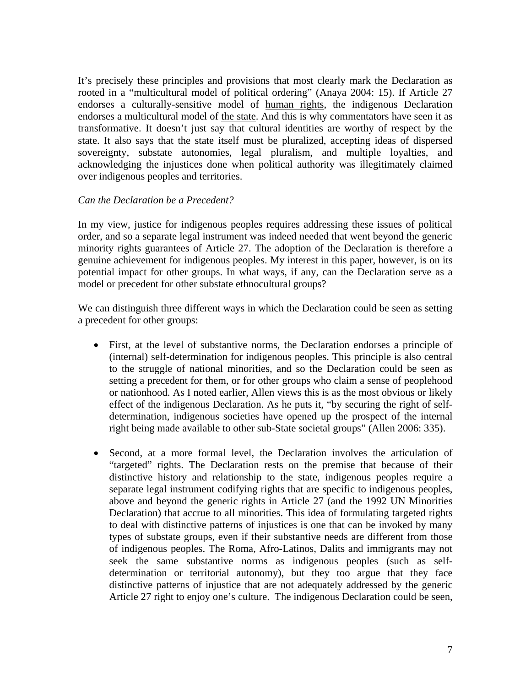It's precisely these principles and provisions that most clearly mark the Declaration as rooted in a "multicultural model of political ordering" (Anaya 2004: 15). If Article 27 endorses a culturally-sensitive model of human rights, the indigenous Declaration endorses a multicultural model of the state. And this is why commentators have seen it as transformative. It doesn't just say that cultural identities are worthy of respect by the state. It also says that the state itself must be pluralized, accepting ideas of dispersed sovereignty, substate autonomies, legal pluralism, and multiple loyalties, and acknowledging the injustices done when political authority was illegitimately claimed over indigenous peoples and territories.

## *Can the Declaration be a Precedent?*

In my view, justice for indigenous peoples requires addressing these issues of political order, and so a separate legal instrument was indeed needed that went beyond the generic minority rights guarantees of Article 27. The adoption of the Declaration is therefore a genuine achievement for indigenous peoples. My interest in this paper, however, is on its potential impact for other groups. In what ways, if any, can the Declaration serve as a model or precedent for other substate ethnocultural groups?

We can distinguish three different ways in which the Declaration could be seen as setting a precedent for other groups:

- First, at the level of substantive norms, the Declaration endorses a principle of (internal) self-determination for indigenous peoples. This principle is also central to the struggle of national minorities, and so the Declaration could be seen as setting a precedent for them, or for other groups who claim a sense of peoplehood or nationhood. As I noted earlier, Allen views this is as the most obvious or likely effect of the indigenous Declaration. As he puts it, "by securing the right of selfdetermination, indigenous societies have opened up the prospect of the internal right being made available to other sub-State societal groups" (Allen 2006: 335).
- Second, at a more formal level, the Declaration involves the articulation of "targeted" rights. The Declaration rests on the premise that because of their distinctive history and relationship to the state, indigenous peoples require a separate legal instrument codifying rights that are specific to indigenous peoples, above and beyond the generic rights in Article 27 (and the 1992 UN Minorities Declaration) that accrue to all minorities. This idea of formulating targeted rights to deal with distinctive patterns of injustices is one that can be invoked by many types of substate groups, even if their substantive needs are different from those of indigenous peoples. The Roma, Afro-Latinos, Dalits and immigrants may not seek the same substantive norms as indigenous peoples (such as selfdetermination or territorial autonomy), but they too argue that they face distinctive patterns of injustice that are not adequately addressed by the generic Article 27 right to enjoy one's culture. The indigenous Declaration could be seen,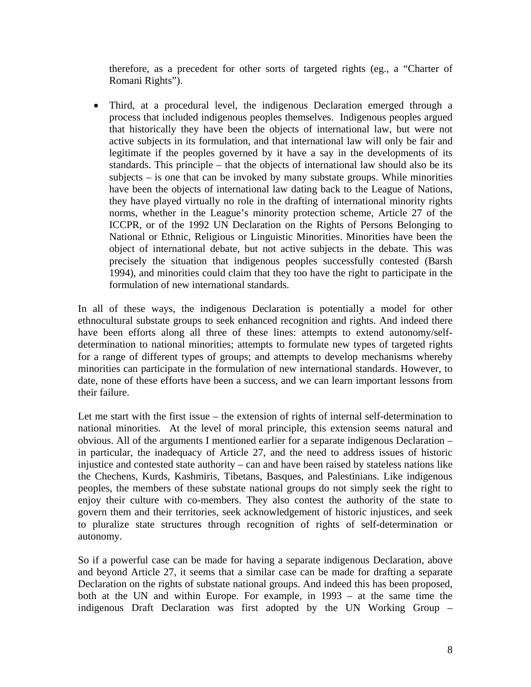therefore, as a precedent for other sorts of targeted rights (eg., a "Charter of Romani Rights").

• Third, at a procedural level, the indigenous Declaration emerged through a process that included indigenous peoples themselves. Indigenous peoples argued that historically they have been the objects of international law, but were not active subjects in its formulation, and that international law will only be fair and legitimate if the peoples governed by it have a say in the developments of its standards. This principle – that the objects of international law should also be its subjects – is one that can be invoked by many substate groups. While minorities have been the objects of international law dating back to the League of Nations, they have played virtually no role in the drafting of international minority rights norms, whether in the League's minority protection scheme, Article 27 of the ICCPR, or of the 1992 UN Declaration on the Rights of Persons Belonging to National or Ethnic, Religious or Linguistic Minorities. Minorities have been the object of international debate, but not active subjects in the debate. This was precisely the situation that indigenous peoples successfully contested (Barsh 1994), and minorities could claim that they too have the right to participate in the formulation of new international standards.

In all of these ways, the indigenous Declaration is potentially a model for other ethnocultural substate groups to seek enhanced recognition and rights. And indeed there have been efforts along all three of these lines: attempts to extend autonomy/selfdetermination to national minorities; attempts to formulate new types of targeted rights for a range of different types of groups; and attempts to develop mechanisms whereby minorities can participate in the formulation of new international standards. However, to date, none of these efforts have been a success, and we can learn important lessons from their failure.

Let me start with the first issue – the extension of rights of internal self-determination to national minorities. At the level of moral principle, this extension seems natural and obvious. All of the arguments I mentioned earlier for a separate indigenous Declaration – in particular, the inadequacy of Article 27, and the need to address issues of historic injustice and contested state authority – can and have been raised by stateless nations like the Chechens, Kurds, Kashmiris, Tibetans, Basques, and Palestinians. Like indigenous peoples, the members of these substate national groups do not simply seek the right to enjoy their culture with co-members. They also contest the authority of the state to govern them and their territories, seek acknowledgement of historic injustices, and seek to pluralize state structures through recognition of rights of self-determination or autonomy.

So if a powerful case can be made for having a separate indigenous Declaration, above and beyond Article 27, it seems that a similar case can be made for drafting a separate Declaration on the rights of substate national groups. And indeed this has been proposed, both at the UN and within Europe. For example, in 1993 – at the same time the indigenous Draft Declaration was first adopted by the UN Working Group –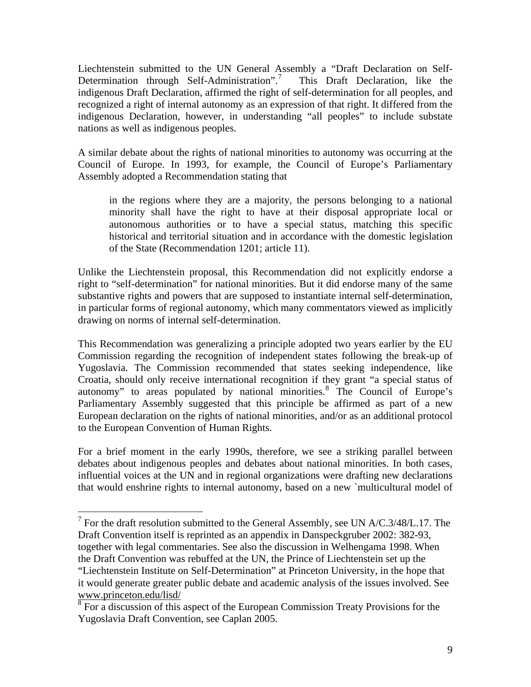Liechtenstein submitted to the UN General Assembly a "Draft Declaration on Self-Determination through Self-Administration".[7](#page-8-0) This Draft Declaration, like the indigenous Draft Declaration, affirmed the right of self-determination for all peoples, and recognized a right of internal autonomy as an expression of that right. It differed from the indigenous Declaration, however, in understanding "all peoples" to include substate nations as well as indigenous peoples.

A similar debate about the rights of national minorities to autonomy was occurring at the Council of Europe. In 1993, for example, the Council of Europe's Parliamentary Assembly adopted a Recommendation stating that

 in the regions where they are a majority, the persons belonging to a national minority shall have the right to have at their disposal appropriate local or autonomous authorities or to have a special status, matching this specific historical and territorial situation and in accordance with the domestic legislation of the State (Recommendation 1201; article 11).

Unlike the Liechtenstein proposal, this Recommendation did not explicitly endorse a right to "self-determination" for national minorities. But it did endorse many of the same substantive rights and powers that are supposed to instantiate internal self-determination, in particular forms of regional autonomy, which many commentators viewed as implicitly drawing on norms of internal self-determination.

This Recommendation was generalizing a principle adopted two years earlier by the EU Commission regarding the recognition of independent states following the break-up of Yugoslavia. The Commission recommended that states seeking independence, like Croatia, should only receive international recognition if they grant "a special status of autonomy" to areas populated by national minorities.<sup>[8](#page-8-1)</sup> The Council of Europe's Parliamentary Assembly suggested that this principle be affirmed as part of a new European declaration on the rights of national minorities, and/or as an additional protocol to the European Convention of Human Rights.

For a brief moment in the early 1990s, therefore, we see a striking parallel between debates about indigenous peoples and debates about national minorities. In both cases, influential voices at the UN and in regional organizations were drafting new declarations that would enshrine rights to internal autonomy, based on a new `multicultural model of

<span id="page-8-0"></span> $7$  For the draft resolution submitted to the General Assembly, see UN A/C.3/48/L.17. The Draft Convention itself is reprinted as an appendix in Danspeckgruber 2002: 382-93, together with legal commentaries. See also the discussion in Welhengama 1998. When the Draft Convention was rebuffed at the UN, the Prince of Liechtenstein set up the "Liechtenstein Institute on Self-Determination" at Princeton University, in the hope that it would generate greater public debate and academic analysis of the issues involved. See [www.princeton.edu/lisd/ 8](http://www.princeton.edu/lisd/)

<span id="page-8-1"></span><sup>&</sup>lt;sup>8</sup> For a discussion of this aspect of the European Commission Treaty Provisions for the Yugoslavia Draft Convention, see Caplan 2005.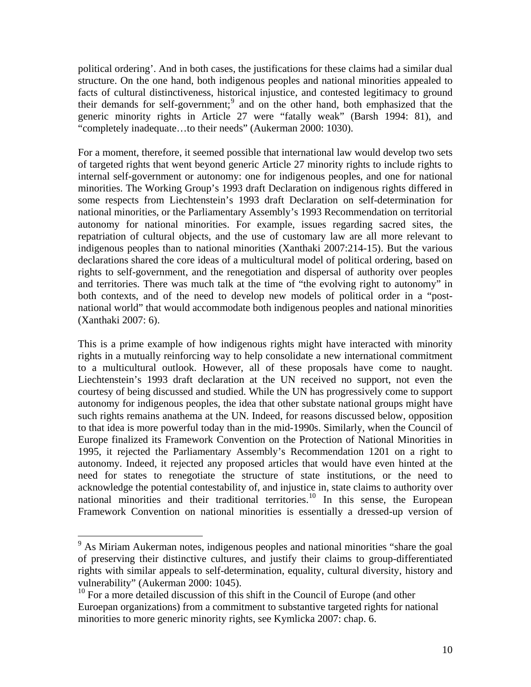political ordering'. And in both cases, the justifications for these claims had a similar dual structure. On the one hand, both indigenous peoples and national minorities appealed to facts of cultural distinctiveness, historical injustice, and contested legitimacy to ground their demands for self-government;<sup>[9](#page-9-0)</sup> and on the other hand, both emphasized that the generic minority rights in Article 27 were "fatally weak" (Barsh 1994: 81), and "completely inadequate…to their needs" (Aukerman 2000: 1030).

For a moment, therefore, it seemed possible that international law would develop two sets of targeted rights that went beyond generic Article 27 minority rights to include rights to internal self-government or autonomy: one for indigenous peoples, and one for national minorities. The Working Group's 1993 draft Declaration on indigenous rights differed in some respects from Liechtenstein's 1993 draft Declaration on self-determination for national minorities, or the Parliamentary Assembly's 1993 Recommendation on territorial autonomy for national minorities. For example, issues regarding sacred sites, the repatriation of cultural objects, and the use of customary law are all more relevant to indigenous peoples than to national minorities (Xanthaki 2007:214-15). But the various declarations shared the core ideas of a multicultural model of political ordering, based on rights to self-government, and the renegotiation and dispersal of authority over peoples and territories. There was much talk at the time of "the evolving right to autonomy" in both contexts, and of the need to develop new models of political order in a "postnational world" that would accommodate both indigenous peoples and national minorities (Xanthaki 2007: 6).

This is a prime example of how indigenous rights might have interacted with minority rights in a mutually reinforcing way to help consolidate a new international commitment to a multicultural outlook. However, all of these proposals have come to naught. Liechtenstein's 1993 draft declaration at the UN received no support, not even the courtesy of being discussed and studied. While the UN has progressively come to support autonomy for indigenous peoples, the idea that other substate national groups might have such rights remains anathema at the UN. Indeed, for reasons discussed below, opposition to that idea is more powerful today than in the mid-1990s. Similarly, when the Council of Europe finalized its Framework Convention on the Protection of National Minorities in 1995, it rejected the Parliamentary Assembly's Recommendation 1201 on a right to autonomy. Indeed, it rejected any proposed articles that would have even hinted at the need for states to renegotiate the structure of state institutions, or the need to acknowledge the potential contestability of, and injustice in, state claims to authority over national minorities and their traditional territories.<sup>[10](#page-9-1)</sup> In this sense, the European Framework Convention on national minorities is essentially a dressed-up version of

<span id="page-9-0"></span><sup>&</sup>lt;sup>9</sup> As Miriam Aukerman notes, indigenous peoples and national minorities "share the goal of preserving their distinctive cultures, and justify their claims to group-differentiated rights with similar appeals to self-determination, equality, cultural diversity, history and vulnerability" (Aukerman 2000: 1045).

<span id="page-9-1"></span> $10$  For a more detailed discussion of this shift in the Council of Europe (and other Euroepan organizations) from a commitment to substantive targeted rights for national minorities to more generic minority rights, see Kymlicka 2007: chap. 6.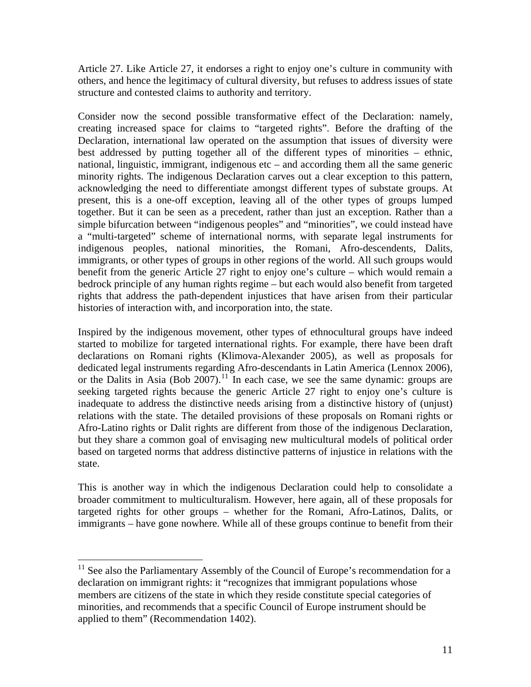Article 27. Like Article 27, it endorses a right to enjoy one's culture in community with others, and hence the legitimacy of cultural diversity, but refuses to address issues of state structure and contested claims to authority and territory.

Consider now the second possible transformative effect of the Declaration: namely, creating increased space for claims to "targeted rights". Before the drafting of the Declaration, international law operated on the assumption that issues of diversity were best addressed by putting together all of the different types of minorities – ethnic, national, linguistic, immigrant, indigenous etc – and according them all the same generic minority rights. The indigenous Declaration carves out a clear exception to this pattern, acknowledging the need to differentiate amongst different types of substate groups. At present, this is a one-off exception, leaving all of the other types of groups lumped together. But it can be seen as a precedent, rather than just an exception. Rather than a simple bifurcation between "indigenous peoples" and "minorities", we could instead have a "multi-targeted" scheme of international norms, with separate legal instruments for indigenous peoples, national minorities, the Romani, Afro-descendents, Dalits, immigrants, or other types of groups in other regions of the world. All such groups would benefit from the generic Article 27 right to enjoy one's culture – which would remain a bedrock principle of any human rights regime – but each would also benefit from targeted rights that address the path-dependent injustices that have arisen from their particular histories of interaction with, and incorporation into, the state.

Inspired by the indigenous movement, other types of ethnocultural groups have indeed started to mobilize for targeted international rights. For example, there have been draft declarations on Romani rights (Klimova-Alexander 2005), as well as proposals for dedicated legal instruments regarding Afro-descendants in Latin America (Lennox 2006), or the Dalits in Asia (Bob 2007).<sup>[11](#page-10-0)</sup> In each case, we see the same dynamic: groups are seeking targeted rights because the generic Article 27 right to enjoy one's culture is inadequate to address the distinctive needs arising from a distinctive history of (unjust) relations with the state. The detailed provisions of these proposals on Romani rights or Afro-Latino rights or Dalit rights are different from those of the indigenous Declaration, but they share a common goal of envisaging new multicultural models of political order based on targeted norms that address distinctive patterns of injustice in relations with the state.

This is another way in which the indigenous Declaration could help to consolidate a broader commitment to multiculturalism. However, here again, all of these proposals for targeted rights for other groups – whether for the Romani, Afro-Latinos, Dalits, or immigrants – have gone nowhere. While all of these groups continue to benefit from their

<span id="page-10-0"></span> $11$  See also the Parliamentary Assembly of the Council of Europe's recommendation for a declaration on immigrant rights: it "recognizes that immigrant populations whose members are citizens of the state in which they reside constitute special categories of minorities, and recommends that a specific Council of Europe instrument should be applied to them" (Recommendation 1402).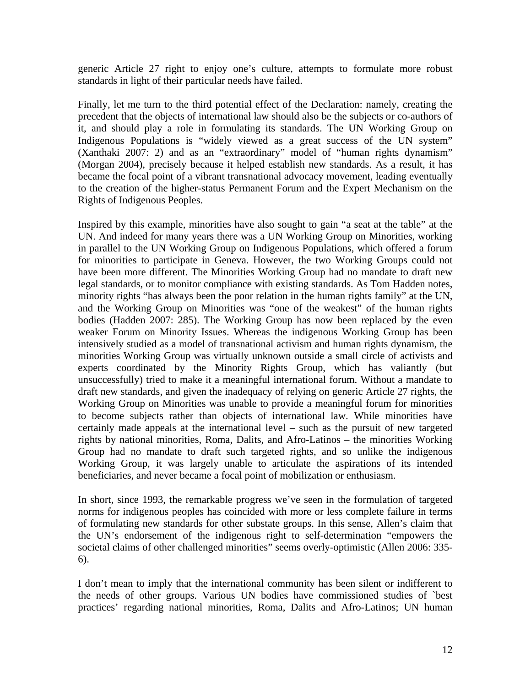generic Article 27 right to enjoy one's culture, attempts to formulate more robust standards in light of their particular needs have failed.

Finally, let me turn to the third potential effect of the Declaration: namely, creating the precedent that the objects of international law should also be the subjects or co-authors of it, and should play a role in formulating its standards. The UN Working Group on Indigenous Populations is "widely viewed as a great success of the UN system" (Xanthaki 2007: 2) and as an "extraordinary" model of "human rights dynamism" (Morgan 2004), precisely because it helped establish new standards. As a result, it has became the focal point of a vibrant transnational advocacy movement, leading eventually to the creation of the higher-status Permanent Forum and the Expert Mechanism on the Rights of Indigenous Peoples.

Inspired by this example, minorities have also sought to gain "a seat at the table" at the UN. And indeed for many years there was a UN Working Group on Minorities, working in parallel to the UN Working Group on Indigenous Populations, which offered a forum for minorities to participate in Geneva. However, the two Working Groups could not have been more different. The Minorities Working Group had no mandate to draft new legal standards, or to monitor compliance with existing standards. As Tom Hadden notes, minority rights "has always been the poor relation in the human rights family" at the UN, and the Working Group on Minorities was "one of the weakest" of the human rights bodies (Hadden 2007: 285). The Working Group has now been replaced by the even weaker Forum on Minority Issues. Whereas the indigenous Working Group has been intensively studied as a model of transnational activism and human rights dynamism, the minorities Working Group was virtually unknown outside a small circle of activists and experts coordinated by the Minority Rights Group, which has valiantly (but unsuccessfully) tried to make it a meaningful international forum. Without a mandate to draft new standards, and given the inadequacy of relying on generic Article 27 rights, the Working Group on Minorities was unable to provide a meaningful forum for minorities to become subjects rather than objects of international law. While minorities have certainly made appeals at the international level – such as the pursuit of new targeted rights by national minorities, Roma, Dalits, and Afro-Latinos – the minorities Working Group had no mandate to draft such targeted rights, and so unlike the indigenous Working Group, it was largely unable to articulate the aspirations of its intended beneficiaries, and never became a focal point of mobilization or enthusiasm.

In short, since 1993, the remarkable progress we've seen in the formulation of targeted norms for indigenous peoples has coincided with more or less complete failure in terms of formulating new standards for other substate groups. In this sense, Allen's claim that the UN's endorsement of the indigenous right to self-determination "empowers the societal claims of other challenged minorities" seems overly-optimistic (Allen 2006: 335-6).

I don't mean to imply that the international community has been silent or indifferent to the needs of other groups. Various UN bodies have commissioned studies of `best practices' regarding national minorities, Roma, Dalits and Afro-Latinos; UN human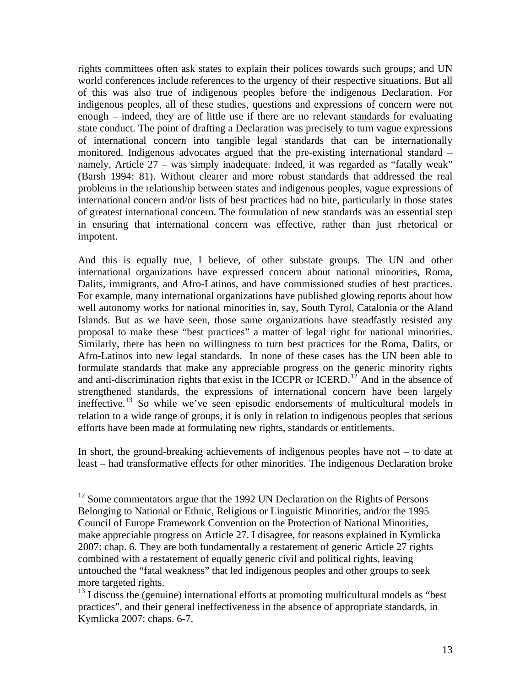rights committees often ask states to explain their polices towards such groups; and UN world conferences include references to the urgency of their respective situations. But all of this was also true of indigenous peoples before the indigenous Declaration. For indigenous peoples, all of these studies, questions and expressions of concern were not enough – indeed, they are of little use if there are no relevant standards for evaluating state conduct. The point of drafting a Declaration was precisely to turn vague expressions of international concern into tangible legal standards that can be internationally monitored. Indigenous advocates argued that the pre-existing international standard – namely, Article 27 – was simply inadequate. Indeed, it was regarded as "fatally weak" (Barsh 1994: 81). Without clearer and more robust standards that addressed the real problems in the relationship between states and indigenous peoples, vague expressions of international concern and/or lists of best practices had no bite, particularly in those states of greatest international concern. The formulation of new standards was an essential step in ensuring that international concern was effective, rather than just rhetorical or impotent.

And this is equally true, I believe, of other substate groups. The UN and other international organizations have expressed concern about national minorities, Roma, Dalits, immigrants, and Afro-Latinos, and have commissioned studies of best practices. For example, many international organizations have published glowing reports about how well autonomy works for national minorities in, say, South Tyrol, Catalonia or the Aland Islands. But as we have seen, those same organizations have steadfastly resisted any proposal to make these "best practices" a matter of legal right for national minorities. Similarly, there has been no willingness to turn best practices for the Roma, Dalits, or Afro-Latinos into new legal standards. In none of these cases has the UN been able to formulate standards that make any appreciable progress on the generic minority rights and anti-discrimination rights that exist in the ICCPR or ICERD.<sup>[12](#page-12-0)</sup> And in the absence of strengthened standards, the expressions of international concern have been largely ineffective.<sup>[13](#page-12-1)</sup> So while we've seen episodic endorsements of multicultural models in relation to a wide range of groups, it is only in relation to indigenous peoples that serious efforts have been made at formulating new rights, standards or entitlements.

In short, the ground-breaking achievements of indigenous peoples have not – to date at least – had transformative effects for other minorities. The indigenous Declaration broke

<span id="page-12-0"></span> $12$  Some commentators argue that the 1992 UN Declaration on the Rights of Persons Belonging to National or Ethnic, Religious or Linguistic Minorities, and/or the 1995 Council of Europe Framework Convention on the Protection of National Minorities, make appreciable progress on Article 27. I disagree, for reasons explained in Kymlicka 2007: chap. 6. They are both fundamentally a restatement of generic Article 27 rights combined with a restatement of equally generic civil and political rights, leaving untouched the "fatal weakness" that led indigenous peoples and other groups to seek more targeted rights.

<span id="page-12-1"></span> $13$  I discuss the (genuine) international efforts at promoting multicultural models as "best" practices", and their general ineffectiveness in the absence of appropriate standards, in Kymlicka 2007: chaps. 6-7.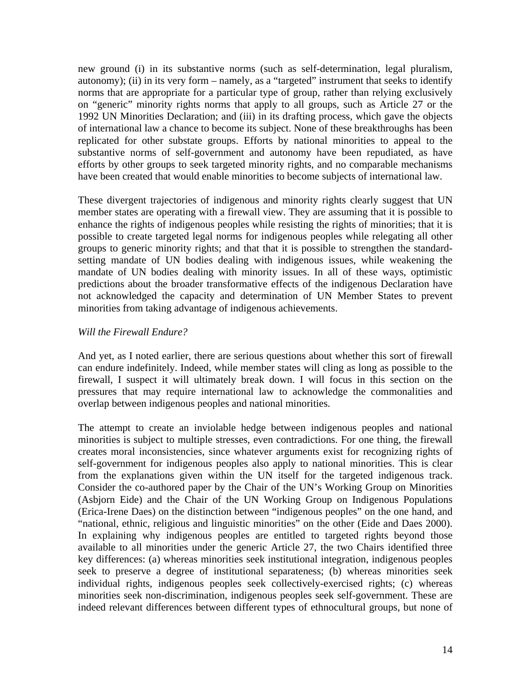new ground (i) in its substantive norms (such as self-determination, legal pluralism, autonomy); (ii) in its very form – namely, as a "targeted" instrument that seeks to identify norms that are appropriate for a particular type of group, rather than relying exclusively on "generic" minority rights norms that apply to all groups, such as Article 27 or the 1992 UN Minorities Declaration; and (iii) in its drafting process, which gave the objects of international law a chance to become its subject. None of these breakthroughs has been replicated for other substate groups. Efforts by national minorities to appeal to the substantive norms of self-government and autonomy have been repudiated, as have efforts by other groups to seek targeted minority rights, and no comparable mechanisms have been created that would enable minorities to become subjects of international law.

These divergent trajectories of indigenous and minority rights clearly suggest that UN member states are operating with a firewall view. They are assuming that it is possible to enhance the rights of indigenous peoples while resisting the rights of minorities; that it is possible to create targeted legal norms for indigenous peoples while relegating all other groups to generic minority rights; and that that it is possible to strengthen the standardsetting mandate of UN bodies dealing with indigenous issues, while weakening the mandate of UN bodies dealing with minority issues. In all of these ways, optimistic predictions about the broader transformative effects of the indigenous Declaration have not acknowledged the capacity and determination of UN Member States to prevent minorities from taking advantage of indigenous achievements.

## *Will the Firewall Endure?*

And yet, as I noted earlier, there are serious questions about whether this sort of firewall can endure indefinitely. Indeed, while member states will cling as long as possible to the firewall, I suspect it will ultimately break down. I will focus in this section on the pressures that may require international law to acknowledge the commonalities and overlap between indigenous peoples and national minorities.

The attempt to create an inviolable hedge between indigenous peoples and national minorities is subject to multiple stresses, even contradictions. For one thing, the firewall creates moral inconsistencies, since whatever arguments exist for recognizing rights of self-government for indigenous peoples also apply to national minorities. This is clear from the explanations given within the UN itself for the targeted indigenous track. Consider the co-authored paper by the Chair of the UN's Working Group on Minorities (Asbjorn Eide) and the Chair of the UN Working Group on Indigenous Populations (Erica-Irene Daes) on the distinction between "indigenous peoples" on the one hand, and "national, ethnic, religious and linguistic minorities" on the other (Eide and Daes 2000). In explaining why indigenous peoples are entitled to targeted rights beyond those available to all minorities under the generic Article 27, the two Chairs identified three key differences: (a) whereas minorities seek institutional integration, indigenous peoples seek to preserve a degree of institutional separateness; (b) whereas minorities seek individual rights, indigenous peoples seek collectively-exercised rights; (c) whereas minorities seek non-discrimination, indigenous peoples seek self-government. These are indeed relevant differences between different types of ethnocultural groups, but none of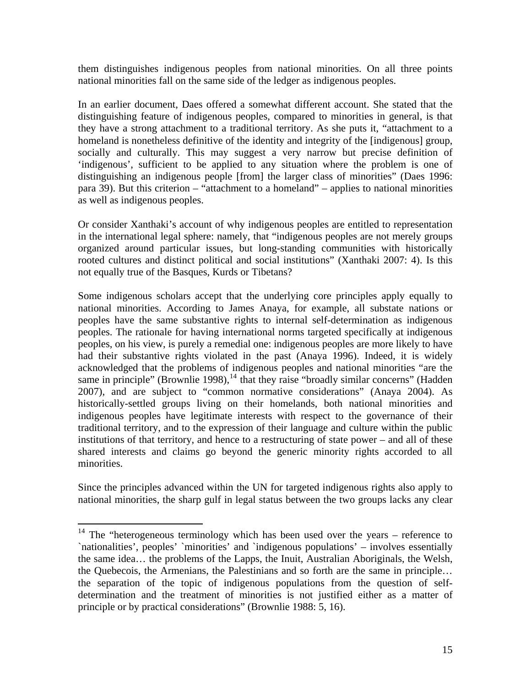them distinguishes indigenous peoples from national minorities. On all three points national minorities fall on the same side of the ledger as indigenous peoples.

In an earlier document, Daes offered a somewhat different account. She stated that the distinguishing feature of indigenous peoples, compared to minorities in general, is that they have a strong attachment to a traditional territory. As she puts it, "attachment to a homeland is nonetheless definitive of the identity and integrity of the [indigenous] group, socially and culturally. This may suggest a very narrow but precise definition of 'indigenous', sufficient to be applied to any situation where the problem is one of distinguishing an indigenous people [from] the larger class of minorities" (Daes 1996: para 39). But this criterion – "attachment to a homeland" – applies to national minorities as well as indigenous peoples.

Or consider Xanthaki's account of why indigenous peoples are entitled to representation in the international legal sphere: namely, that "indigenous peoples are not merely groups organized around particular issues, but long-standing communities with historically rooted cultures and distinct political and social institutions" (Xanthaki 2007: 4). Is this not equally true of the Basques, Kurds or Tibetans?

Some indigenous scholars accept that the underlying core principles apply equally to national minorities. According to James Anaya, for example, all substate nations or peoples have the same substantive rights to internal self-determination as indigenous peoples. The rationale for having international norms targeted specifically at indigenous peoples, on his view, is purely a remedial one: indigenous peoples are more likely to have had their substantive rights violated in the past (Anaya 1996). Indeed, it is widely acknowledged that the problems of indigenous peoples and national minorities "are the same in principle" (Brownlie 1998), $^{14}$  $^{14}$  $^{14}$  that they raise "broadly similar concerns" (Hadden 2007), and are subject to "common normative considerations" (Anaya 2004). As historically-settled groups living on their homelands, both national minorities and indigenous peoples have legitimate interests with respect to the governance of their traditional territory, and to the expression of their language and culture within the public institutions of that territory, and hence to a restructuring of state power – and all of these shared interests and claims go beyond the generic minority rights accorded to all minorities.

Since the principles advanced within the UN for targeted indigenous rights also apply to national minorities, the sharp gulf in legal status between the two groups lacks any clear

<span id="page-14-0"></span> $14$  The "heterogeneous terminology which has been used over the years – reference to `nationalities', peoples' `minorities' and `indigenous populations' – involves essentially the same idea… the problems of the Lapps, the Inuit, Australian Aboriginals, the Welsh, the Quebecois, the Armenians, the Palestinians and so forth are the same in principle… the separation of the topic of indigenous populations from the question of selfdetermination and the treatment of minorities is not justified either as a matter of principle or by practical considerations" (Brownlie 1988: 5, 16).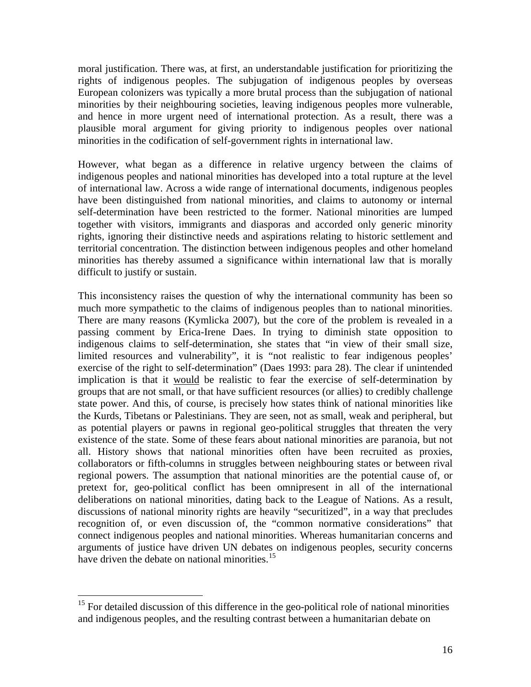moral justification. There was, at first, an understandable justification for prioritizing the rights of indigenous peoples. The subjugation of indigenous peoples by overseas European colonizers was typically a more brutal process than the subjugation of national minorities by their neighbouring societies, leaving indigenous peoples more vulnerable, and hence in more urgent need of international protection. As a result, there was a plausible moral argument for giving priority to indigenous peoples over national minorities in the codification of self-government rights in international law.

However, what began as a difference in relative urgency between the claims of indigenous peoples and national minorities has developed into a total rupture at the level of international law. Across a wide range of international documents, indigenous peoples have been distinguished from national minorities, and claims to autonomy or internal self-determination have been restricted to the former. National minorities are lumped together with visitors, immigrants and diasporas and accorded only generic minority rights, ignoring their distinctive needs and aspirations relating to historic settlement and territorial concentration. The distinction between indigenous peoples and other homeland minorities has thereby assumed a significance within international law that is morally difficult to justify or sustain.

This inconsistency raises the question of why the international community has been so much more sympathetic to the claims of indigenous peoples than to national minorities. There are many reasons (Kymlicka 2007), but the core of the problem is revealed in a passing comment by Erica-Irene Daes. In trying to diminish state opposition to indigenous claims to self-determination, she states that "in view of their small size, limited resources and vulnerability", it is "not realistic to fear indigenous peoples' exercise of the right to self-determination" (Daes 1993: para 28). The clear if unintended implication is that it would be realistic to fear the exercise of self-determination by groups that are not small, or that have sufficient resources (or allies) to credibly challenge state power. And this, of course, is precisely how states think of national minorities like the Kurds, Tibetans or Palestinians. They are seen, not as small, weak and peripheral, but as potential players or pawns in regional geo-political struggles that threaten the very existence of the state. Some of these fears about national minorities are paranoia, but not all. History shows that national minorities often have been recruited as proxies, collaborators or fifth-columns in struggles between neighbouring states or between rival regional powers. The assumption that national minorities are the potential cause of, or pretext for, geo-political conflict has been omnipresent in all of the international deliberations on national minorities, dating back to the League of Nations. As a result, discussions of national minority rights are heavily "securitized", in a way that precludes recognition of, or even discussion of, the "common normative considerations" that connect indigenous peoples and national minorities. Whereas humanitarian concerns and arguments of justice have driven UN debates on indigenous peoples, security concerns have driven the debate on national minorities.<sup>[15](#page-15-0)</sup>

<span id="page-15-0"></span> $15$  For detailed discussion of this difference in the geo-political role of national minorities and indigenous peoples, and the resulting contrast between a humanitarian debate on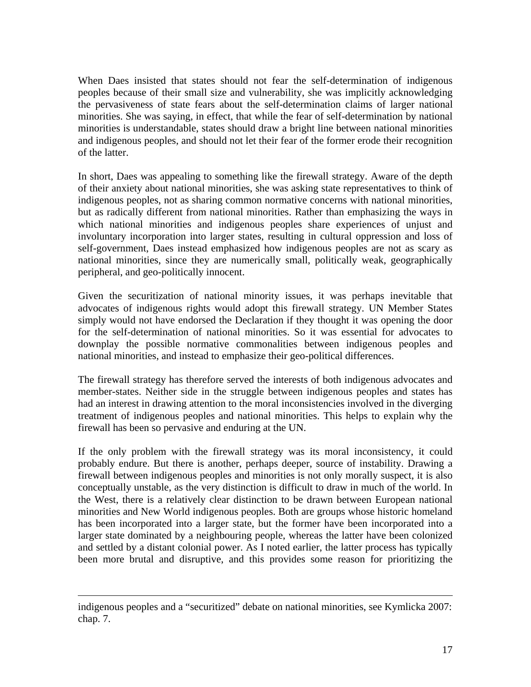When Daes insisted that states should not fear the self-determination of indigenous peoples because of their small size and vulnerability, she was implicitly acknowledging the pervasiveness of state fears about the self-determination claims of larger national minorities. She was saying, in effect, that while the fear of self-determination by national minorities is understandable, states should draw a bright line between national minorities and indigenous peoples, and should not let their fear of the former erode their recognition of the latter.

In short, Daes was appealing to something like the firewall strategy. Aware of the depth of their anxiety about national minorities, she was asking state representatives to think of indigenous peoples, not as sharing common normative concerns with national minorities, but as radically different from national minorities. Rather than emphasizing the ways in which national minorities and indigenous peoples share experiences of unjust and involuntary incorporation into larger states, resulting in cultural oppression and loss of self-government, Daes instead emphasized how indigenous peoples are not as scary as national minorities, since they are numerically small, politically weak, geographically peripheral, and geo-politically innocent.

Given the securitization of national minority issues, it was perhaps inevitable that advocates of indigenous rights would adopt this firewall strategy. UN Member States simply would not have endorsed the Declaration if they thought it was opening the door for the self-determination of national minorities. So it was essential for advocates to downplay the possible normative commonalities between indigenous peoples and national minorities, and instead to emphasize their geo-political differences.

The firewall strategy has therefore served the interests of both indigenous advocates and member-states. Neither side in the struggle between indigenous peoples and states has had an interest in drawing attention to the moral inconsistencies involved in the diverging treatment of indigenous peoples and national minorities. This helps to explain why the firewall has been so pervasive and enduring at the UN.

If the only problem with the firewall strategy was its moral inconsistency, it could probably endure. But there is another, perhaps deeper, source of instability. Drawing a firewall between indigenous peoples and minorities is not only morally suspect, it is also conceptually unstable, as the very distinction is difficult to draw in much of the world. In the West, there is a relatively clear distinction to be drawn between European national minorities and New World indigenous peoples. Both are groups whose historic homeland has been incorporated into a larger state, but the former have been incorporated into a larger state dominated by a neighbouring people, whereas the latter have been colonized and settled by a distant colonial power. As I noted earlier, the latter process has typically been more brutal and disruptive, and this provides some reason for prioritizing the

indigenous peoples and a "securitized" debate on national minorities, see Kymlicka 2007: chap. 7.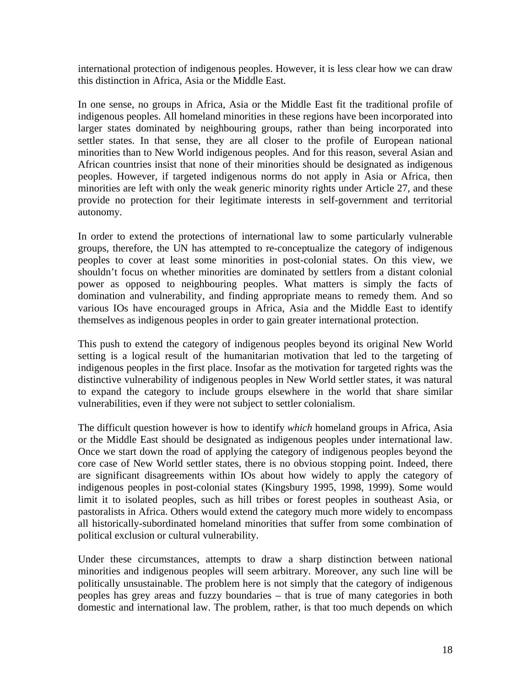international protection of indigenous peoples. However, it is less clear how we can draw this distinction in Africa, Asia or the Middle East.

In one sense, no groups in Africa, Asia or the Middle East fit the traditional profile of indigenous peoples. All homeland minorities in these regions have been incorporated into larger states dominated by neighbouring groups, rather than being incorporated into settler states. In that sense, they are all closer to the profile of European national minorities than to New World indigenous peoples. And for this reason, several Asian and African countries insist that none of their minorities should be designated as indigenous peoples. However, if targeted indigenous norms do not apply in Asia or Africa, then minorities are left with only the weak generic minority rights under Article 27, and these provide no protection for their legitimate interests in self-government and territorial autonomy.

In order to extend the protections of international law to some particularly vulnerable groups, therefore, the UN has attempted to re-conceptualize the category of indigenous peoples to cover at least some minorities in post-colonial states. On this view, we shouldn't focus on whether minorities are dominated by settlers from a distant colonial power as opposed to neighbouring peoples. What matters is simply the facts of domination and vulnerability, and finding appropriate means to remedy them. And so various IOs have encouraged groups in Africa, Asia and the Middle East to identify themselves as indigenous peoples in order to gain greater international protection.

This push to extend the category of indigenous peoples beyond its original New World setting is a logical result of the humanitarian motivation that led to the targeting of indigenous peoples in the first place. Insofar as the motivation for targeted rights was the distinctive vulnerability of indigenous peoples in New World settler states, it was natural to expand the category to include groups elsewhere in the world that share similar vulnerabilities, even if they were not subject to settler colonialism.

The difficult question however is how to identify *which* homeland groups in Africa, Asia or the Middle East should be designated as indigenous peoples under international law. Once we start down the road of applying the category of indigenous peoples beyond the core case of New World settler states, there is no obvious stopping point. Indeed, there are significant disagreements within IOs about how widely to apply the category of indigenous peoples in post-colonial states (Kingsbury 1995, 1998, 1999). Some would limit it to isolated peoples, such as hill tribes or forest peoples in southeast Asia, or pastoralists in Africa. Others would extend the category much more widely to encompass all historically-subordinated homeland minorities that suffer from some combination of political exclusion or cultural vulnerability.

Under these circumstances, attempts to draw a sharp distinction between national minorities and indigenous peoples will seem arbitrary. Moreover, any such line will be politically unsustainable. The problem here is not simply that the category of indigenous peoples has grey areas and fuzzy boundaries – that is true of many categories in both domestic and international law. The problem, rather, is that too much depends on which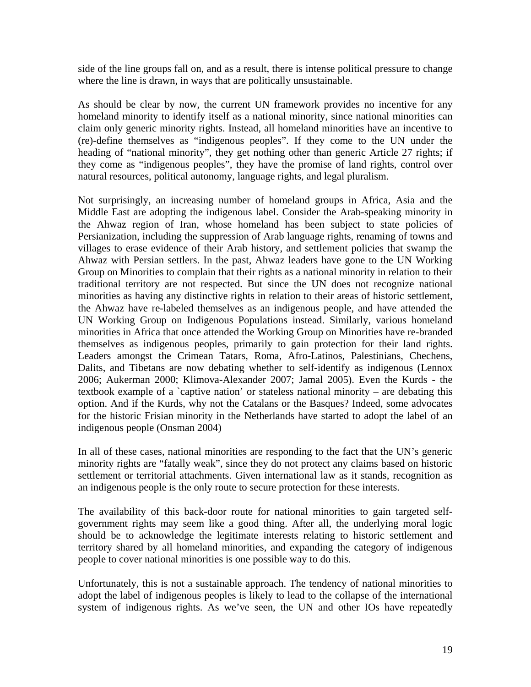side of the line groups fall on, and as a result, there is intense political pressure to change where the line is drawn, in ways that are politically unsustainable.

As should be clear by now, the current UN framework provides no incentive for any homeland minority to identify itself as a national minority, since national minorities can claim only generic minority rights. Instead, all homeland minorities have an incentive to (re)-define themselves as "indigenous peoples". If they come to the UN under the heading of "national minority", they get nothing other than generic Article 27 rights; if they come as "indigenous peoples", they have the promise of land rights, control over natural resources, political autonomy, language rights, and legal pluralism.

Not surprisingly, an increasing number of homeland groups in Africa, Asia and the Middle East are adopting the indigenous label. Consider the Arab-speaking minority in the Ahwaz region of Iran, whose homeland has been subject to state policies of Persianization, including the suppression of Arab language rights, renaming of towns and villages to erase evidence of their Arab history, and settlement policies that swamp the Ahwaz with Persian settlers. In the past, Ahwaz leaders have gone to the UN Working Group on Minorities to complain that their rights as a national minority in relation to their traditional territory are not respected. But since the UN does not recognize national minorities as having any distinctive rights in relation to their areas of historic settlement, the Ahwaz have re-labeled themselves as an indigenous people, and have attended the UN Working Group on Indigenous Populations instead. Similarly, various homeland minorities in Africa that once attended the Working Group on Minorities have re-branded themselves as indigenous peoples, primarily to gain protection for their land rights. Leaders amongst the Crimean Tatars, Roma, Afro-Latinos, Palestinians, Chechens, Dalits, and Tibetans are now debating whether to self-identify as indigenous (Lennox 2006; Aukerman 2000; Klimova-Alexander 2007; Jamal 2005). Even the Kurds - the textbook example of a `captive nation' or stateless national minority – are debating this option. And if the Kurds, why not the Catalans or the Basques? Indeed, some advocates for the historic Frisian minority in the Netherlands have started to adopt the label of an indigenous people (Onsman 2004)

In all of these cases, national minorities are responding to the fact that the UN's generic minority rights are "fatally weak", since they do not protect any claims based on historic settlement or territorial attachments. Given international law as it stands, recognition as an indigenous people is the only route to secure protection for these interests.

The availability of this back-door route for national minorities to gain targeted selfgovernment rights may seem like a good thing. After all, the underlying moral logic should be to acknowledge the legitimate interests relating to historic settlement and territory shared by all homeland minorities, and expanding the category of indigenous people to cover national minorities is one possible way to do this.

Unfortunately, this is not a sustainable approach. The tendency of national minorities to adopt the label of indigenous peoples is likely to lead to the collapse of the international system of indigenous rights. As we've seen, the UN and other IOs have repeatedly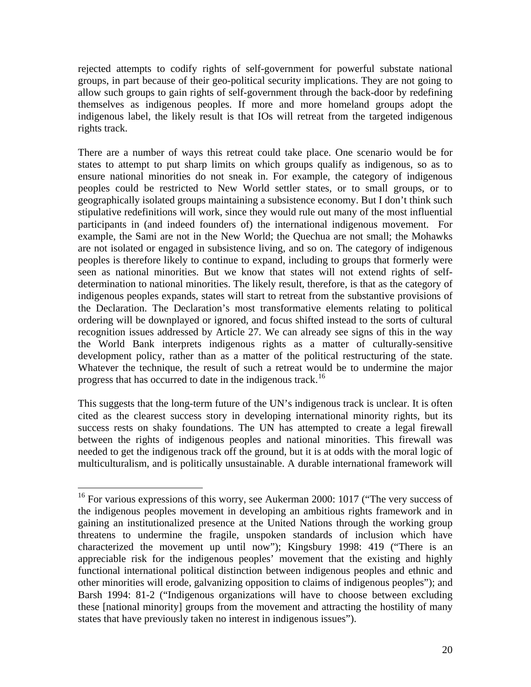rejected attempts to codify rights of self-government for powerful substate national groups, in part because of their geo-political security implications. They are not going to allow such groups to gain rights of self-government through the back-door by redefining themselves as indigenous peoples. If more and more homeland groups adopt the indigenous label, the likely result is that IOs will retreat from the targeted indigenous rights track.

There are a number of ways this retreat could take place. One scenario would be for states to attempt to put sharp limits on which groups qualify as indigenous, so as to ensure national minorities do not sneak in. For example, the category of indigenous peoples could be restricted to New World settler states, or to small groups, or to geographically isolated groups maintaining a subsistence economy. But I don't think such stipulative redefinitions will work, since they would rule out many of the most influential participants in (and indeed founders of) the international indigenous movement. For example, the Sami are not in the New World; the Quechua are not small; the Mohawks are not isolated or engaged in subsistence living, and so on. The category of indigenous peoples is therefore likely to continue to expand, including to groups that formerly were seen as national minorities. But we know that states will not extend rights of selfdetermination to national minorities. The likely result, therefore, is that as the category of indigenous peoples expands, states will start to retreat from the substantive provisions of the Declaration. The Declaration's most transformative elements relating to political ordering will be downplayed or ignored, and focus shifted instead to the sorts of cultural recognition issues addressed by Article 27. We can already see signs of this in the way the World Bank interprets indigenous rights as a matter of culturally-sensitive development policy, rather than as a matter of the political restructuring of the state. Whatever the technique, the result of such a retreat would be to undermine the major progress that has occurred to date in the indigenous track.<sup>[16](#page-19-0)</sup>

This suggests that the long-term future of the UN's indigenous track is unclear. It is often cited as the clearest success story in developing international minority rights, but its success rests on shaky foundations. The UN has attempted to create a legal firewall between the rights of indigenous peoples and national minorities. This firewall was needed to get the indigenous track off the ground, but it is at odds with the moral logic of multiculturalism, and is politically unsustainable. A durable international framework will

<span id="page-19-0"></span> $16$  For various expressions of this worry, see Aukerman 2000: 1017 ("The very success of the indigenous peoples movement in developing an ambitious rights framework and in gaining an institutionalized presence at the United Nations through the working group threatens to undermine the fragile, unspoken standards of inclusion which have characterized the movement up until now"); Kingsbury 1998: 419 ("There is an appreciable risk for the indigenous peoples' movement that the existing and highly functional international political distinction between indigenous peoples and ethnic and other minorities will erode, galvanizing opposition to claims of indigenous peoples"); and Barsh 1994: 81-2 ("Indigenous organizations will have to choose between excluding these [national minority] groups from the movement and attracting the hostility of many states that have previously taken no interest in indigenous issues").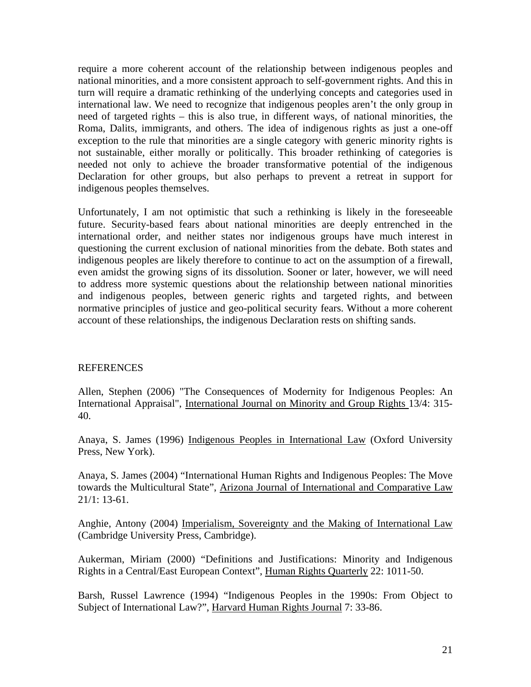require a more coherent account of the relationship between indigenous peoples and national minorities, and a more consistent approach to self-government rights. And this in turn will require a dramatic rethinking of the underlying concepts and categories used in international law. We need to recognize that indigenous peoples aren't the only group in need of targeted rights – this is also true, in different ways, of national minorities, the Roma, Dalits, immigrants, and others. The idea of indigenous rights as just a one-off exception to the rule that minorities are a single category with generic minority rights is not sustainable, either morally or politically. This broader rethinking of categories is needed not only to achieve the broader transformative potential of the indigenous Declaration for other groups, but also perhaps to prevent a retreat in support for indigenous peoples themselves.

Unfortunately, I am not optimistic that such a rethinking is likely in the foreseeable future. Security-based fears about national minorities are deeply entrenched in the international order, and neither states nor indigenous groups have much interest in questioning the current exclusion of national minorities from the debate. Both states and indigenous peoples are likely therefore to continue to act on the assumption of a firewall, even amidst the growing signs of its dissolution. Sooner or later, however, we will need to address more systemic questions about the relationship between national minorities and indigenous peoples, between generic rights and targeted rights, and between normative principles of justice and geo-political security fears. Without a more coherent account of these relationships, the indigenous Declaration rests on shifting sands.

## **REFERENCES**

Allen, Stephen (2006) "The Consequences of Modernity for Indigenous Peoples: An International Appraisal", International Journal on Minority and Group Rights 13/4: 315- 40.

Anaya, S. James (1996) Indigenous Peoples in International Law (Oxford University Press, New York).

Anaya, S. James (2004) "International Human Rights and Indigenous Peoples: The Move towards the Multicultural State", Arizona Journal of International and Comparative Law 21/1: 13-61.

Anghie, Antony (2004) Imperialism, Sovereignty and the Making of International Law (Cambridge University Press, Cambridge).

Aukerman, Miriam (2000) "Definitions and Justifications: Minority and Indigenous Rights in a Central/East European Context", Human Rights Quarterly 22: 1011-50.

Barsh, Russel Lawrence (1994) "Indigenous Peoples in the 1990s: From Object to Subject of International Law?", Harvard Human Rights Journal 7: 33-86.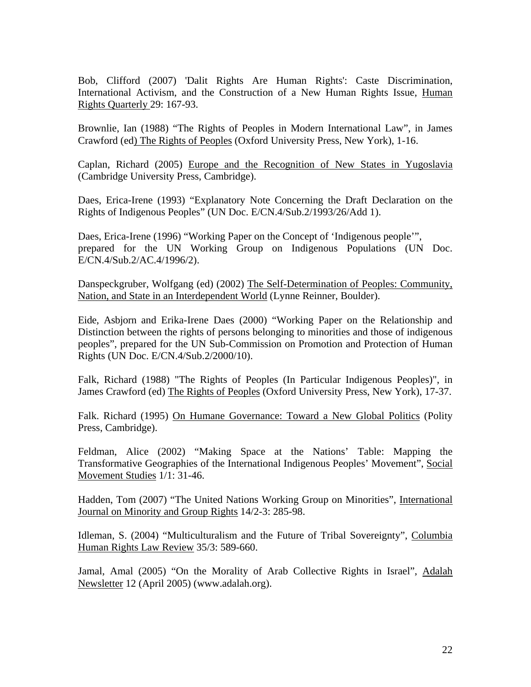Bob, Clifford (2007) 'Dalit Rights Are Human Rights': Caste Discrimination, International Activism, and the Construction of a New Human Rights Issue, Human Rights Quarterly 29: 167-93.

Brownlie, Ian (1988) "The Rights of Peoples in Modern International Law", in James Crawford (ed) The Rights of Peoples (Oxford University Press, New York), 1-16.

Caplan, Richard (2005) Europe and the Recognition of New States in Yugoslavia (Cambridge University Press, Cambridge).

Daes, Erica-Irene (1993) "Explanatory Note Concerning the Draft Declaration on the Rights of Indigenous Peoples" (UN Doc. E/CN.4/Sub.2/1993/26/Add 1).

Daes, Erica-Irene (1996) "Working Paper on the Concept of 'Indigenous people'", prepared for the UN Working Group on Indigenous Populations (UN Doc. E/CN.4/Sub.2/AC.4/1996/2).

Danspeckgruber, Wolfgang (ed) (2002) The Self-Determination of Peoples: Community, Nation, and State in an Interdependent World (Lynne Reinner, Boulder).

Eide, Asbjorn and Erika-Irene Daes (2000) "Working Paper on the Relationship and Distinction between the rights of persons belonging to minorities and those of indigenous peoples", prepared for the UN Sub-Commission on Promotion and Protection of Human Rights (UN Doc. E/CN.4/Sub.2/2000/10).

Falk, Richard (1988) "The Rights of Peoples (In Particular Indigenous Peoples)", in James Crawford (ed) The Rights of Peoples (Oxford University Press, New York), 17-37.

Falk. Richard (1995) On Humane Governance: Toward a New Global Politics (Polity Press, Cambridge).

Feldman, Alice (2002) "Making Space at the Nations' Table: Mapping the Transformative Geographies of the International Indigenous Peoples' Movement", Social Movement Studies 1/1: 31-46.

Hadden, Tom (2007) "The United Nations Working Group on Minorities", International Journal on Minority and Group Rights 14/2-3: 285-98.

Idleman, S. (2004) "Multiculturalism and the Future of Tribal Sovereignty", Columbia Human Rights Law Review 35/3: 589-660.

Jamal, Amal (2005) "On the Morality of Arab Collective Rights in Israel", Adalah Newsletter 12 (April 2005) (www.adalah.org).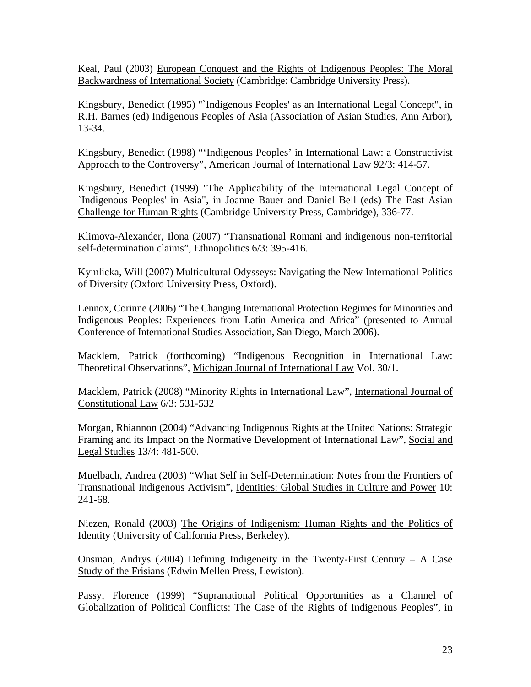Keal, Paul (2003) European Conquest and the Rights of Indigenous Peoples: The Moral Backwardness of International Society (Cambridge: Cambridge University Press).

Kingsbury, Benedict (1995) "`Indigenous Peoples' as an International Legal Concept", in R.H. Barnes (ed) Indigenous Peoples of Asia (Association of Asian Studies, Ann Arbor), 13-34.

Kingsbury, Benedict (1998) "'Indigenous Peoples' in International Law: a Constructivist Approach to the Controversy", American Journal of International Law 92/3: 414-57.

Kingsbury, Benedict (1999) "The Applicability of the International Legal Concept of `Indigenous Peoples' in Asia", in Joanne Bauer and Daniel Bell (eds) The East Asian Challenge for Human Rights (Cambridge University Press, Cambridge), 336-77.

Klimova-Alexander, Ilona (2007) "Transnational Romani and indigenous non-territorial self-determination claims", Ethnopolitics 6/3: 395-416.

Kymlicka, Will (2007) Multicultural Odysseys: Navigating the New International Politics of Diversity (Oxford University Press, Oxford).

Lennox, Corinne (2006) "The Changing International Protection Regimes for Minorities and Indigenous Peoples: Experiences from Latin America and Africa" (presented to Annual Conference of International Studies Association, San Diego, March 2006).

Macklem, Patrick (forthcoming) "Indigenous Recognition in International Law: Theoretical Observations", Michigan Journal of International Law Vol. 30/1.

Macklem, Patrick (2008) "Minority Rights in International Law", International Journal of Constitutional Law 6/3: 531-532

Morgan, Rhiannon (2004) "Advancing Indigenous Rights at the United Nations: Strategic Framing and its Impact on the Normative Development of International Law", Social and Legal Studies 13/4: 481-500.

Muelbach, Andrea (2003) "What Self in Self-Determination: Notes from the Frontiers of Transnational Indigenous Activism", Identities: Global Studies in Culture and Power 10: 241-68.

Niezen, Ronald (2003) The Origins of Indigenism: Human Rights and the Politics of Identity (University of California Press, Berkeley).

Onsman, Andrys (2004) Defining Indigeneity in the Twenty-First Century – A Case Study of the Frisians (Edwin Mellen Press, Lewiston).

Passy, Florence (1999) "Supranational Political Opportunities as a Channel of Globalization of Political Conflicts: The Case of the Rights of Indigenous Peoples", in